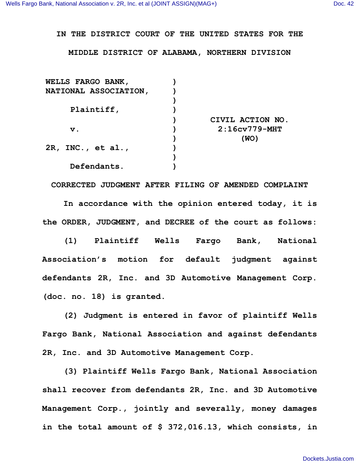## **IN THE DISTRICT COURT OF THE UNITED STATES FOR THE**

## **MIDDLE DISTRICT OF ALABAMA, NORTHERN DIVISION**

| <b>WELLS FARGO BANK,</b>     |                  |
|------------------------------|------------------|
| <b>NATIONAL ASSOCIATION,</b> |                  |
|                              |                  |
| Plaintiff,                   |                  |
|                              | CIVIL ACTION NO. |
| $\mathbf v$ .                | $2:16cv779-MHT$  |
|                              | (WO)             |
| $2R$ , INC., et al.,         |                  |
|                              |                  |
| Defendants.                  |                  |

**CORRECTED JUDGMENT AFTER FILING OF AMENDED COMPLAINT**

**In accordance with the opinion entered today, it is the ORDER, JUDGMENT, and DECREE of the court as follows:**

**(1) Plaintiff Wells Fargo Bank, National Association's motion for default judgment against defendants 2R, Inc. and 3D Automotive Management Corp. (doc. no. 18) is granted.**

**(2) Judgment is entered in favor of plaintiff Wells Fargo Bank, National Association and against defendants 2R, Inc. and 3D Automotive Management Corp.**

**(3) Plaintiff Wells Fargo Bank, National Association shall recover from defendants 2R, Inc. and 3D Automotive Management Corp., jointly and severally, money damages in the total amount of \$ 372,016.13, which consists, in**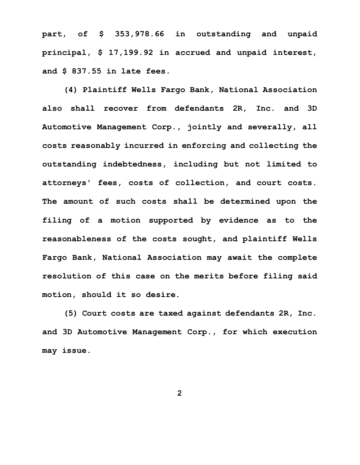**part, of \$ 353,978.66 in outstanding and unpaid principal, \$ 17,199.92 in accrued and unpaid interest, and \$ 837.55 in late fees.** 

**(4) Plaintiff Wells Fargo Bank, National Association also shall recover from defendants 2R, Inc. and 3D Automotive Management Corp., jointly and severally, all costs reasonably incurred in enforcing and collecting the outstanding indebtedness, including but not limited to attorneys' fees, costs of collection, and court costs. The amount of such costs shall be determined upon the filing of a motion supported by evidence as to the reasonableness of the costs sought, and plaintiff Wells Fargo Bank, National Association may await the complete resolution of this case on the merits before filing said motion, should it so desire.**

**(5) Court costs are taxed against defendants 2R, Inc. and 3D Automotive Management Corp., for which execution may issue.**

**2**